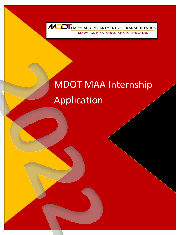

# MDOT MAA Internship Application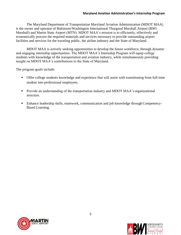The Maryland Department of Transportation Maryland Aviation Administration (MDOT MAA) is the owner and operator of Baltimore/Washington International Thurgood Marshall Airport (BWI Marshall) and Martin State Airport (MTN). MDOT MAA's mission is to efficiently, effectively and economically procure the required materials and services necessary to provide outstanding airport facilities and services for the traveling public, the airline industry and the State of Maryland.

MDOT MAA is actively seeking opportunities to develop the future workforce, through dynamic and engaging internship opportunities. The MDOT MAA's Internship Program will equip college students with knowledge of the transportation and aviation industry, while simultaneously providing insight on MDOT MAA's contributions to the State of Maryland.

The program goals include:

- **•** Offer college students knowledge and experience that will assist with transitioning from full-time student into professional employees.
- **•** Provide an understanding of the transportation industry and MDOT MAA's organizational structure.
- Enhance leadership skills, teamwork, communication and job knowledge through Competency-Based Learning.



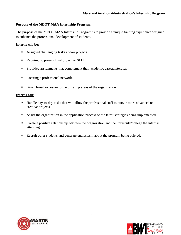## **Purpose of the MDOT MAA Internship Program:**

The purpose of the MDOT MAA Internship Program is to provide a unique training experience designed to enhance the professional development of students.

## **Interns will be:**

- Assigned challenging tasks and/or projects.
- Required to present final project to SMT
- Provided assignments that complement their academic career/interests.
- Creating a professional network.
- Given broad exposure to the differing areas of the organization.

## **Interns can:**

- Handle day-to-day tasks that will allow the professional staff to pursue more advanced or creative projects.
- Assist the organization in the application process of the latest strategies being implemented.
- Create a positive relationship between the organization and the university/college the intern is attending.
- Recruit other students and generate enthusiasm about the program being offered.



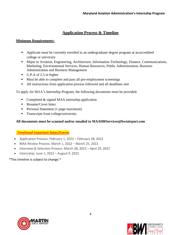# **Application Process & Timeline**

# **Minimum Requirements:**

- Applicant must be currently enrolled in an undergraduate degree program at an accredited college or university
- Major in Aviation, Engineering, Architecture, Information Technology, Finance, Communications, Marketing, Environmental Services, Human Resources, Public Administration, Business Administration and Business Management
- G.P.A of 2.5 or higher
- Must be able to complete and pass all pre-employment screenings
- All instructions from application process followed and all deadlines met

To apply for MAA's Internship Program, the following documents must be provided:

- Completed & signed MAA internship application
- Resume/Cover letter
- **•** Personal Statement (1-page maximum)
- **Transcripts from college/university**

# **All documents must be scanned and/or emailed to [MAAHRServices@bwiairport.com](mailto:MAAHRServices@bwiairport.com)**

## **Timelineof Important Dates/Events**

- Application Process: February 1, 2022 February 28, 2022
- MAA Review Process: March 1, 2022 March 25, 2022
- Interview & Selection Process: March 28, 2022 April 29, 2022
- Internship: June 1, 2022 August 9, 2022

## \*This timeline is subject to change.\*



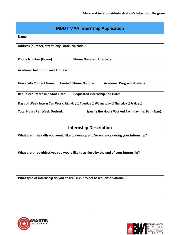| <b>MDOT MAA Internship Application</b>                                                 |                              |                                  |                                                   |                                   |  |
|----------------------------------------------------------------------------------------|------------------------------|----------------------------------|---------------------------------------------------|-----------------------------------|--|
| Name:                                                                                  |                              |                                  |                                                   |                                   |  |
| Address (number, street, city, state, zip code):                                       |                              |                                  |                                                   |                                   |  |
| <b>Phone Number (Home):</b>                                                            |                              | <b>Phone Number (Alternate):</b> |                                                   |                                   |  |
| <b>Academic Institution and Address:</b>                                               |                              |                                  |                                                   |                                   |  |
| <b>University Contact Name:</b>                                                        | <b>Contact Phone Number:</b> |                                  |                                                   | <b>Academic Program Studying:</b> |  |
| <b>Requested Internship Start Date:</b>                                                |                              |                                  | <b>Requested Internship End Date:</b>             |                                   |  |
| Days of Week Intern Can Work: Monday □ Tuesday □ Wednesday □ Thursday □ Friday □       |                              |                                  |                                                   |                                   |  |
| <b>Total Hours Per Week Desired:</b>                                                   |                              |                                  | Specify the Hours Worked Each day (i.e. 9am-5pm): |                                   |  |
| <b>Internship Description</b>                                                          |                              |                                  |                                                   |                                   |  |
| What are three skills you would like to develop and/or enhance during your internship? |                              |                                  |                                                   |                                   |  |
| What are three objectives you would like to achieve by the end of your internship?     |                              |                                  |                                                   |                                   |  |
| What type of internship do you desire? (i.e. project based, observational)?            |                              |                                  |                                                   |                                   |  |



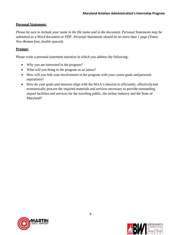# **Personal Statement:**

*Please be sure to include your name in the file name and in the document. Personal Statements may be submitted as a Word document or PDF. Personal Statements should be no more than 1 page (Times New Roman font, double spaced).*

# **Prompt:**

Please write a personal statement narrative in which you address the following:

- Why you are interested in the program?
- What will you bring to the program as an intern?
- How will you link your involvement in the program with your career goals and personal aspirations?
- How do your goals and interests align with the MAA's mission to efficiently, effectively and economically procure the required materials and services necessary to provide outstanding airport facilities and services for the traveling public, the airline industry and the State of Maryland?



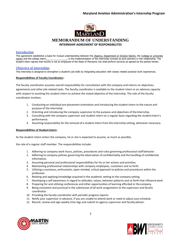## **Maryland Aviation Administration's Internship Program**



### **MEMORANDUM OF UNDERSTANDING INTERNSHIP AGREEMENT OF RESPONSIBILITES**

## **Introduction**

This agreement establishes a basis for mutual understanding between the (Agency, Department or Division Name), the (college or university name) and the college intern, in the implementation of the internship concept as joi in the implementation of the internship concept as joint partners in this relationship. The student intern agrees that he/she is not an employee of the State of Maryland, but shall perform services as agreed by the parties hereto.

### **Objective of Internships**

This internship is designed to strengthen a student's job skills by integrating education with closely related practical work experiences.

#### **Responsibilities of Faculty Coordinator:**

The faculty coordinator assumes overall responsibility for consultation with the company and interns on objectives, agreements and other job-related tasks. The faculty coordinator is available to the student intern in an advisory capacity with respect to assisting the student intern to achieve the stated objective of the internship. The role of the faculty coordinator involves:

- 1. Conducting an individual pre-placement orientation and introducing the student intern to the nature and purpose of the internship.
- 2. Orienting and introducing the company supervisor to the purpose and objectives of theinternship.
- 3. Consulting with the company supervisor and student intern on a regular basis regarding the studentintern's performance.
- 4. Assuming responsibility for the removal of a student intern from the internship setting, whenever necessary.

#### **Responsibilities of Student Intern:**

As the student intern enters the company, he or she is expected to assume, as much as possible,

the role of a regular staff member. The responsibilities include:

- 1. Adhering to company work hours, policies, procedures and rules governing professional staff behavior.
- 2. Adhering to company policies governing the observation of confidentiality and the handling of confidential information.
- 3. Assuming personal and professional responsibilities for his or her actions and activities.
- 4. Maintaining professional relationships with company employees, customers and so forth.
- 5. Utilizing a courteous, enthusiastic, open-minded, critical approach to policies and procedures within the profession.
- 6. Relating and applying knowledge acquired in the academic setting to the company setting.
- 7. Developing a self-awareness in regard to attitudes, values, behavior patterns and so forth that influencework.
- 8. Preparing for and utilizing conferences and other opportunities of learning afforded in the company.
- 9. Being consistent and punctual in the submission of all work assignments to the supervisor and faculty coordinator.
- 10. Providing the faculty coordinator with periodic progress reports.
- 11. Notify your supervisor in advance, if you are unable to attend work or need to adjust yourschedule.
- 12. Record, review and sign weekly time logs and submit to agency supervisor and faculty advisor.